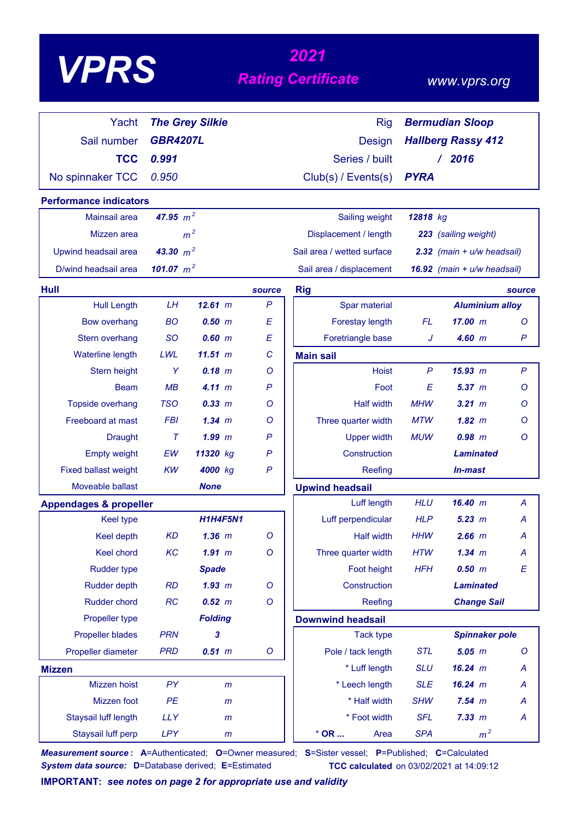# *<sup>2021</sup> VPRS Rating Certificate*

### *www.vprs.org*

| Yacht                             |                  | <b>The Grey Silkie</b> |              | <b>Rig</b>                       | <b>Bermudian Sloop</b>    |                                |                  |
|-----------------------------------|------------------|------------------------|--------------|----------------------------------|---------------------------|--------------------------------|------------------|
| Sail number                       | <b>GBR4207L</b>  |                        |              | Design                           | <b>Hallberg Rassy 412</b> |                                |                  |
| <b>TCC</b>                        | 0.991            |                        |              | Series / built                   |                           | /2016                          |                  |
| No spinnaker TCC                  | 0.950            |                        |              | Club(s) / Events(s)              | <b>PYRA</b>               |                                |                  |
| <b>Performance indicators</b>     |                  |                        |              |                                  |                           |                                |                  |
| Mainsail area                     | 47.95 $m^2$      |                        |              | Sailing weight                   | 12818 kg                  |                                |                  |
| Mizzen area                       |                  | m <sup>2</sup>         |              | Displacement / length            |                           | 223 (sailing weight)           |                  |
| Upwind headsail area              | 43.30 $m^2$      |                        |              | Sail area / wetted surface       |                           |                                |                  |
| D/wind headsail area              | 101.07 $m^2$     |                        |              |                                  |                           | $2.32$ (main + $u/w$ headsail) |                  |
|                                   |                  |                        |              | Sail area / displacement         |                           | 16.92 (main + u/w headsail)    |                  |
| Hull                              |                  |                        | source       | <b>Rig</b>                       |                           |                                | source           |
| <b>Hull Length</b>                | LH               | 12.61 m                | $\mathsf{P}$ | Spar material                    |                           | <b>Aluminium alloy</b>         |                  |
| <b>Bow overhang</b>               | <b>BO</b>        | 0.50~m                 | E            | Forestay length                  | FL                        | 17.00 m                        | $\circ$          |
| Stern overhang                    | <b>SO</b><br>LWL | 0.60~m<br>11.51~m      | E<br>C       | Foretriangle base                | J                         | 4.60 m                         | P                |
| Waterline length<br>Stern height  | Y                | $0.18$ m               | O            | <b>Main sail</b><br><b>Hoist</b> | $\mathsf{P}$              | 15.93 m                        | $\mathsf{P}$     |
| <b>Beam</b>                       | MB               | 4.11 m                 | $\mathsf{P}$ | Foot                             | E                         | 5.37~m                         | Ο                |
| Topside overhang                  | <b>TSO</b>       | 0.33 m                 | O            | <b>Half width</b>                | <b>MHW</b>                | $3.21$ $m$                     | Ο                |
| Freeboard at mast                 | <b>FBI</b>       | $1.34 \; m$            | O            | Three quarter width              | <b>MTW</b>                | $1.82 \; m$                    | O                |
| <b>Draught</b>                    | $\tau$           | $1.99$ $m$             | P            | <b>Upper width</b>               | <b>MUW</b>                | $0.98$ $m$                     | $\circ$          |
| <b>Empty weight</b>               | EW               | 11320 kg               | $\mathsf{P}$ | Construction                     |                           | <b>Laminated</b>               |                  |
| <b>Fixed ballast weight</b>       | <b>KW</b>        | 4000 kg                | $\mathsf{P}$ | Reefing                          |                           | <b>In-mast</b>                 |                  |
| Moveable ballast                  |                  | <b>None</b>            |              | <b>Upwind headsail</b>           |                           |                                |                  |
| <b>Appendages &amp; propeller</b> |                  |                        |              | Luff length                      | <b>HLU</b>                | 16.40 m                        | Α                |
| <b>Keel type</b>                  |                  | <b>H1H4F5N1</b>        |              | Luff perpendicular               | <b>HLP</b>                | 5.23 m                         | A                |
| Keel depth                        | <b>KD</b>        | $1.36$ $m$             | $\circ$      | <b>Half width</b>                | <b>HHW</b>                | $2.66$ $m$                     | A                |
| Keel chord                        | KC               | $1.91$ m               | $\circ$      | Three quarter width              | <b>HTW</b>                | $1.34$ m                       | A                |
| <b>Rudder type</b>                |                  | <b>Spade</b>           |              | Foot height                      | <b>HFH</b>                | 0.50 m                         | $\boldsymbol{E}$ |
| <b>Rudder depth</b>               | <b>RD</b>        | $1.93$ $m$             | O            | Construction                     |                           | <b>Laminated</b>               |                  |
| <b>Rudder chord</b>               | RC               | 0.52 m                 | $\circ$      | Reefing                          |                           | <b>Change Sail</b>             |                  |
| Propeller type                    |                  | <b>Folding</b>         |              | <b>Downwind headsail</b>         |                           |                                |                  |
| <b>Propeller blades</b>           | <b>PRN</b>       | 3                      |              | <b>Tack type</b>                 |                           | <b>Spinnaker pole</b>          |                  |
| Propeller diameter                | <b>PRD</b>       | $0.51$ $m$             | $\mathsf{O}$ | Pole / tack length               | <b>STL</b>                | $5.05$ $m$                     | $\circ$          |
| <b>Mizzen</b>                     |                  |                        |              | * Luff length                    | <b>SLU</b>                | 16.24 m                        | A                |
| Mizzen hoist                      | PY               | m                      |              | * Leech length                   | <b>SLE</b>                | 16.24 m                        | A                |
| Mizzen foot                       | PE               | $\mathsf{m}$           |              | * Half width                     | <b>SHW</b>                | $7.54$ $m$                     | A                |
| Staysail luff length              | <b>LLY</b>       | $\mathsf{m}$           |              | * Foot width                     | <b>SFL</b>                | 7.33 m                         | A                |
| Staysail luff perp                | <b>LPY</b>       | $\mathsf{m}$           |              | $*$ OR<br>Area                   | <b>SPA</b>                | m <sup>2</sup>                 |                  |

*Measurement source* **: A**=Authenticated; **O**=Owner measured; **S**=Sister vessel; **P**=Published; **C**=Calculated *System data source:* **D**=Database derived; **E**=Estimated **TCC calculated** on 03/02/2021 at 14:09:12

**IMPORTANT:** *see notes on page 2 for appropriate use and validity*